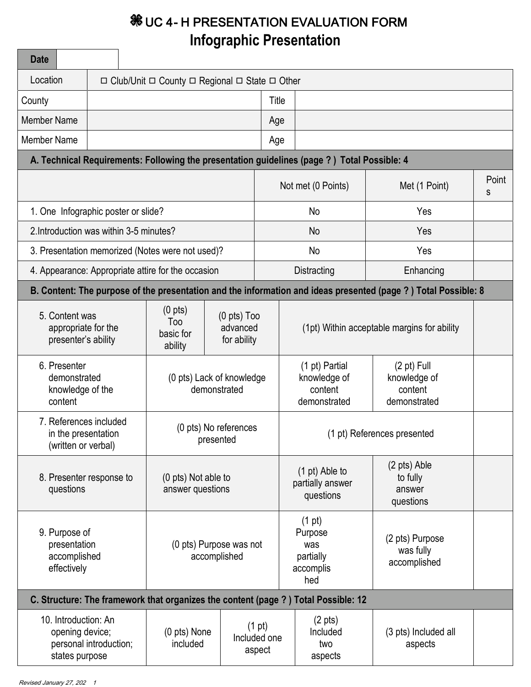## $%$  **UC 4- H PRESENTATION EVALUATION FORM Infographic Presentation**

| <b>Date</b>                                                                                                     |                                                    |                                                                          |                                                                     |                                                 |                                                                                             |                                                                                                                |            |
|-----------------------------------------------------------------------------------------------------------------|----------------------------------------------------|--------------------------------------------------------------------------|---------------------------------------------------------------------|-------------------------------------------------|---------------------------------------------------------------------------------------------|----------------------------------------------------------------------------------------------------------------|------------|
| Location                                                                                                        |                                                    | $\Box$ Club/Unit $\Box$ County $\Box$ Regional $\Box$ State $\Box$ Other |                                                                     |                                                 |                                                                                             |                                                                                                                |            |
| County                                                                                                          |                                                    |                                                                          | Title                                                               |                                                 |                                                                                             |                                                                                                                |            |
| <b>Member Name</b>                                                                                              |                                                    |                                                                          |                                                                     | Age                                             |                                                                                             |                                                                                                                |            |
| <b>Member Name</b>                                                                                              |                                                    |                                                                          |                                                                     | Age                                             |                                                                                             |                                                                                                                |            |
|                                                                                                                 |                                                    |                                                                          |                                                                     |                                                 | A. Technical Requirements: Following the presentation guidelines (page ?) Total Possible: 4 |                                                                                                                |            |
|                                                                                                                 |                                                    |                                                                          |                                                                     |                                                 | Not met (0 Points)                                                                          | Met (1 Point)                                                                                                  | Point<br>S |
|                                                                                                                 | 1. One Infographic poster or slide?                |                                                                          |                                                                     |                                                 | Yes<br>No                                                                                   |                                                                                                                |            |
|                                                                                                                 | 2. Introduction was within 3-5 minutes?            |                                                                          |                                                                     |                                                 | <b>No</b><br>Yes                                                                            |                                                                                                                |            |
|                                                                                                                 | 3. Presentation memorized (Notes were not used)?   |                                                                          |                                                                     |                                                 | No<br>Yes                                                                                   |                                                                                                                |            |
|                                                                                                                 | 4. Appearance: Appropriate attire for the occasion |                                                                          |                                                                     |                                                 | Distracting<br>Enhancing                                                                    |                                                                                                                |            |
|                                                                                                                 |                                                    |                                                                          |                                                                     |                                                 |                                                                                             | B. Content: The purpose of the presentation and the information and ideas presented (page ?) Total Possible: 8 |            |
| 5. Content was<br>appropriate for the<br>presenter's ability                                                    |                                                    | (0 <sub>pts</sub> )<br>Too<br>basic for<br>ability                       | $(0 \text{ pts})$ Too<br>advanced<br>for ability                    |                                                 | (1pt) Within acceptable margins for ability                                                 |                                                                                                                |            |
| 6. Presenter<br>demonstrated<br>knowledge of the<br>content                                                     |                                                    | (0 pts) Lack of knowledge<br>demonstrated                                |                                                                     |                                                 | (1 pt) Partial<br>knowledge of<br>content<br>demonstrated                                   | $(2 \text{ pt})$ Full<br>knowledge of<br>content<br>demonstrated                                               |            |
| 7. References included<br>(0 pts) No references<br>in the presentation<br>presented<br>(written or verbal)      |                                                    |                                                                          | (1 pt) References presented                                         |                                                 |                                                                                             |                                                                                                                |            |
| 8. Presenter response to<br>questions                                                                           |                                                    | (0 pts) Not able to<br>answer questions                                  |                                                                     |                                                 | $(1 \text{ pt})$ Able to<br>partially answer<br>questions                                   | (2 pts) Able<br>to fully<br>answer<br>questions                                                                |            |
| 9. Purpose of<br>presentation<br>(0 pts) Purpose was not<br>accomplished<br>accomplished<br>effectively         |                                                    |                                                                          | $(1 \text{ pt})$<br>Purpose<br>was<br>partially<br>accomplis<br>hed | (2 pts) Purpose<br>was fully<br>accomplished    |                                                                                             |                                                                                                                |            |
| C. Structure: The framework that organizes the content (page ?) Total Possible: 12                              |                                                    |                                                                          |                                                                     |                                                 |                                                                                             |                                                                                                                |            |
| 10. Introduction: An<br>(0 pts) None<br>opening device;<br>personal introduction;<br>included<br>states purpose |                                                    |                                                                          | (1 pt)<br>Included one<br>aspect                                    | $(2 \text{ pts})$<br>Included<br>two<br>aspects | (3 pts) Included all<br>aspects                                                             |                                                                                                                |            |

<u> Tanzania (</u>

 $\overline{\phantom{a}}$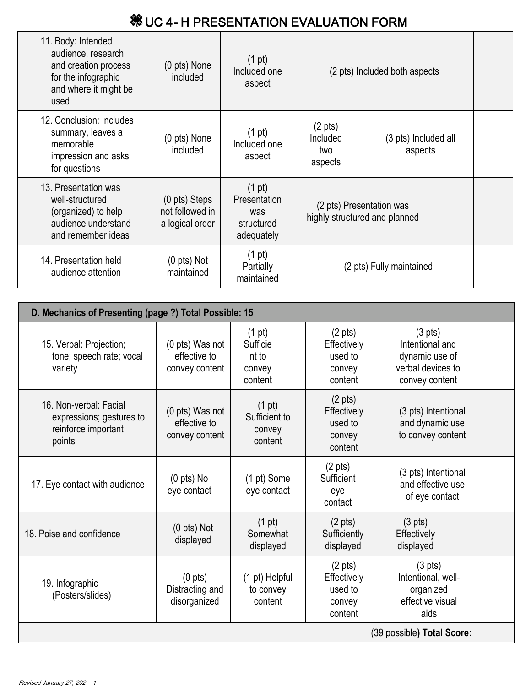## $%$  **UC 4- H PRESENTATION EVALUATION FORM**

| 11. Body: Intended<br>audience, research<br>(0 pts) None<br>and creation process<br>for the infographic<br>included<br>and where it might be<br>used                         |                             | $(1 \text{ pt})$<br>Included one<br>aspect                          | (2 pts) Included both aspects                             |                                 |  |
|------------------------------------------------------------------------------------------------------------------------------------------------------------------------------|-----------------------------|---------------------------------------------------------------------|-----------------------------------------------------------|---------------------------------|--|
| 12. Conclusion: Includes<br>summary, leaves a<br>memorable<br>impression and asks<br>for questions                                                                           | (0 pts) None<br>included    | $(1 \text{ pt})$<br>Included one<br>aspect                          | $(2 \text{ pts})$<br>Included<br>two<br>aspects           | (3 pts) Included all<br>aspects |  |
| 13. Presentation was<br>$(0 \text{ pts})$ Steps<br>well-structured<br>not followed in<br>(organized) to help<br>audience understand<br>a logical order<br>and remember ideas |                             | $(1 \text{ pt})$<br>Presentation<br>was<br>structured<br>adequately | (2 pts) Presentation was<br>highly structured and planned |                                 |  |
| 14. Presentation held<br>audience attention                                                                                                                                  | $(0$ pts) Not<br>maintained | $(1 \text{ pt})$<br>Partially<br>maintained                         |                                                           | (2 pts) Fully maintained        |  |

| D. Mechanics of Presenting (page ?) Total Possible: 15                              |                                                      |                                                            |                                                                  |                                                                                               |  |
|-------------------------------------------------------------------------------------|------------------------------------------------------|------------------------------------------------------------|------------------------------------------------------------------|-----------------------------------------------------------------------------------------------|--|
| 15. Verbal: Projection;<br>tone; speech rate; vocal<br>variety                      | (0 pts) Was not<br>effective to<br>convey content    | $(1 \text{ pt})$<br>Sufficie<br>nt to<br>convey<br>content | $(2 \text{ pts})$<br>Effectively<br>used to<br>convey<br>content | $(3 \text{ pts})$<br>Intentional and<br>dynamic use of<br>verbal devices to<br>convey content |  |
| 16. Non-verbal: Facial<br>expressions; gestures to<br>reinforce important<br>points | (0 pts) Was not<br>effective to<br>convey content    | (1 pt)<br>Sufficient to<br>convey<br>content               | $(2 \text{ pts})$<br>Effectively<br>used to<br>convey<br>content | (3 pts) Intentional<br>and dynamic use<br>to convey content                                   |  |
| 17. Eye contact with audience                                                       | $(0$ pts) No<br>eye contact                          | (1 pt) Some<br>eye contact                                 | $(2 \text{ pts})$<br>Sufficient<br>eye<br>contact                | (3 pts) Intentional<br>and effective use<br>of eye contact                                    |  |
| 18. Poise and confidence                                                            | $(0 \text{ pts})$ Not<br>displayed                   | $(1 \text{ pt})$<br>Somewhat<br>displayed                  | $(2 \text{ pts})$<br>Sufficiently<br>displayed                   | $(3 \text{ pts})$<br>Effectively<br>displayed                                                 |  |
| 19. Infographic<br>(Posters/slides)                                                 | $(0 \text{ pts})$<br>Distracting and<br>disorganized | (1 pt) Helpful<br>to convey<br>content                     | $(2 \text{ pts})$<br>Effectively<br>used to<br>convey<br>content | $(3 \text{ pts})$<br>Intentional, well-<br>organized<br>effective visual<br>aids              |  |
| (39 possible) Total Score:                                                          |                                                      |                                                            |                                                                  |                                                                                               |  |